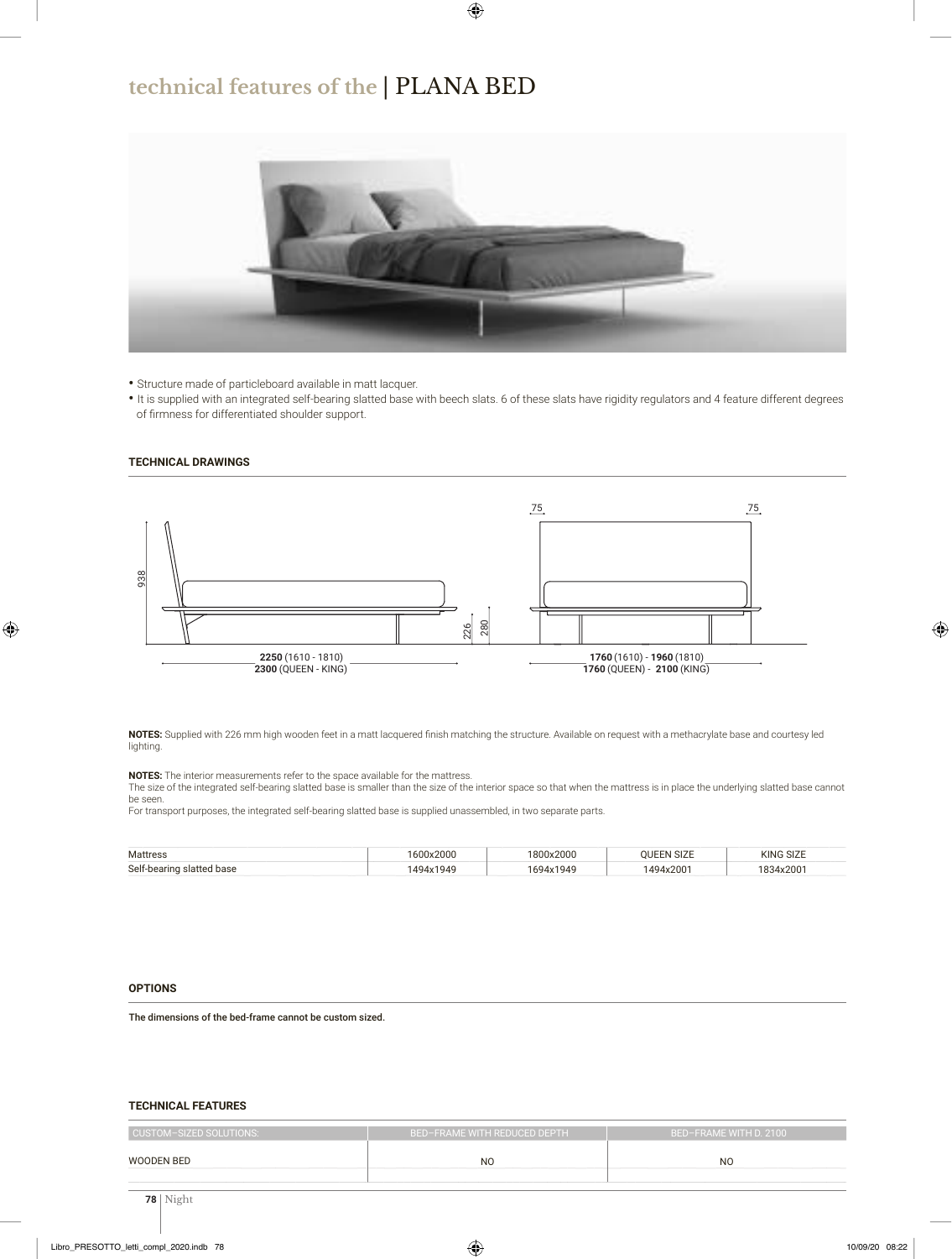## **technical features of the** | PLANA BED



**•** Structure made of particleboard available in matt lacquer.

**•** It is supplied with an integrated self-bearing slatted base with beech slats. 6 of these slats have rigidity regulators and 4 feature different degrees of firmness for differentiated shoulder support.

#### **TECHNICAL DRAWINGS**



**NOTES:** Supplied with 226 mm high wooden feet in a matt lacquered finish matching the structure. Available on request with a methacrylate base and courtesy led lighting.

**NOTES:** The interior measurements refer to the space available for the mattress.

The size of the integrated self-bearing slatted base is smaller than the size of the interior space so that when the mattress is in place the underlying slatted base cannot be seen.

For transport purposes, the integrated self-bearing slatted base is supplied unassembled, in two separate parts.

| Mattress                  | 1600x2000 | 1800x2000 | <b>OUEEN SIZE</b> | KING SIZE |
|---------------------------|-----------|-----------|-------------------|-----------|
| Self-bearing slatted base | 1494x1949 | 1694x1949 | 1494x2001         | 1834x2001 |

#### **OPTIONS**

The dimensions of the bed-frame cannot be custom sized.

### **TECHNICAL FEATURES**

| <b>CUSTOM-SIZED SOLUTIONS:</b> | BED-FRAME WITH REDUCED DEPTH | BED-FRAME WITH D. 2100 |  |
|--------------------------------|------------------------------|------------------------|--|
| <b>WOODEN BED</b>              | N <sub>O</sub>               | <sub>NO</sub>          |  |
|                                |                              |                        |  |